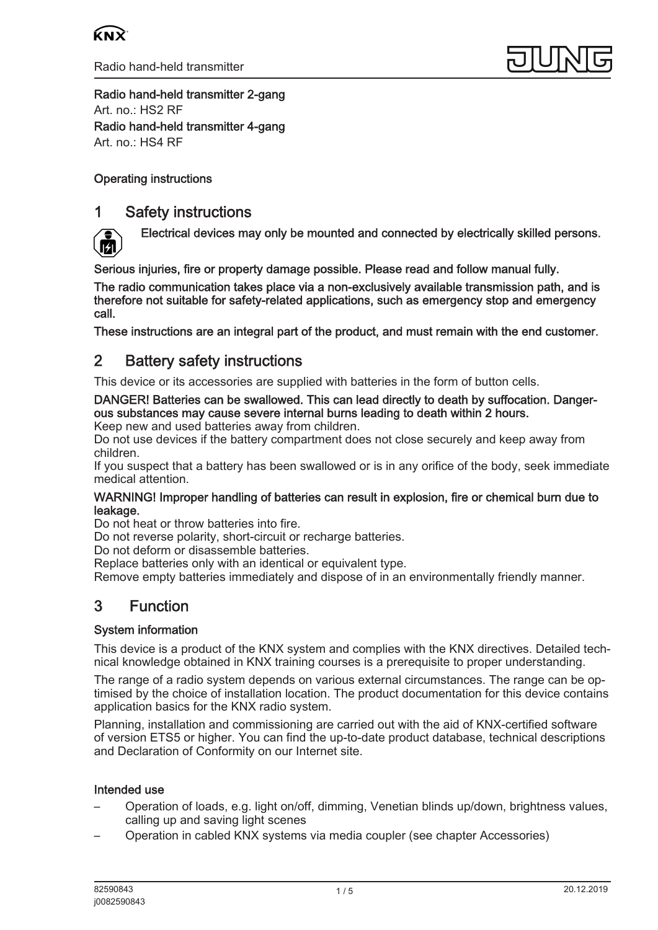



Radio hand-held transmitter 2-gang Art. no.: [HS2 RF](http://qr.jung.de/ean/4011377127630.htm) Radio hand-held transmitter 4-gang Art. no.: [HS4 RF](http://qr.jung.de/ean/4011377127647.htm)

## Operating instructions

## 1 Safety instructions



Electrical devices may only be mounted and connected by electrically skilled persons.

Serious injuries, fire or property damage possible. Please read and follow manual fully.

The radio communication takes place via a non-exclusively available transmission path, and is therefore not suitable for safety-related applications, such as emergency stop and emergency call.

These instructions are an integral part of the product, and must remain with the end customer.

## 2 Battery safety instructions

This device or its accessories are supplied with batteries in the form of button cells.

## DANGER! Batteries can be swallowed. This can lead directly to death by suffocation. Dangerous substances may cause severe internal burns leading to death within 2 hours.

Keep new and used batteries away from children.

Do not use devices if the battery compartment does not close securely and keep away from children.

If you suspect that a battery has been swallowed or is in any orifice of the body, seek immediate medical attention.

#### WARNING! Improper handling of batteries can result in explosion, fire or chemical burn due to leakage.

Do not heat or throw batteries into fire.

Do not reverse polarity, short-circuit or recharge batteries.

Do not deform or disassemble batteries.

Replace batteries only with an identical or equivalent type.

Remove empty batteries immediately and dispose of in an environmentally friendly manner.

# 3 Function

## System information

This device is a product of the KNX system and complies with the KNX directives. Detailed technical knowledge obtained in KNX training courses is a prerequisite to proper understanding.

The range of a radio system depends on various external circumstances. The range can be optimised by the choice of installation location. The product documentation for this device contains application basics for the KNX radio system.

Planning, installation and commissioning are carried out with the aid of KNX-certified software of version ETS5 or higher. You can find the up-to-date product database, technical descriptions and Declaration of Conformity on our Internet site.

### Intended use

- Operation of loads, e.g. light on/off, dimming, Venetian blinds up/down, brightness values, calling up and saving light scenes
- Operation in cabled KNX systems via media coupler (see chapter Accessories)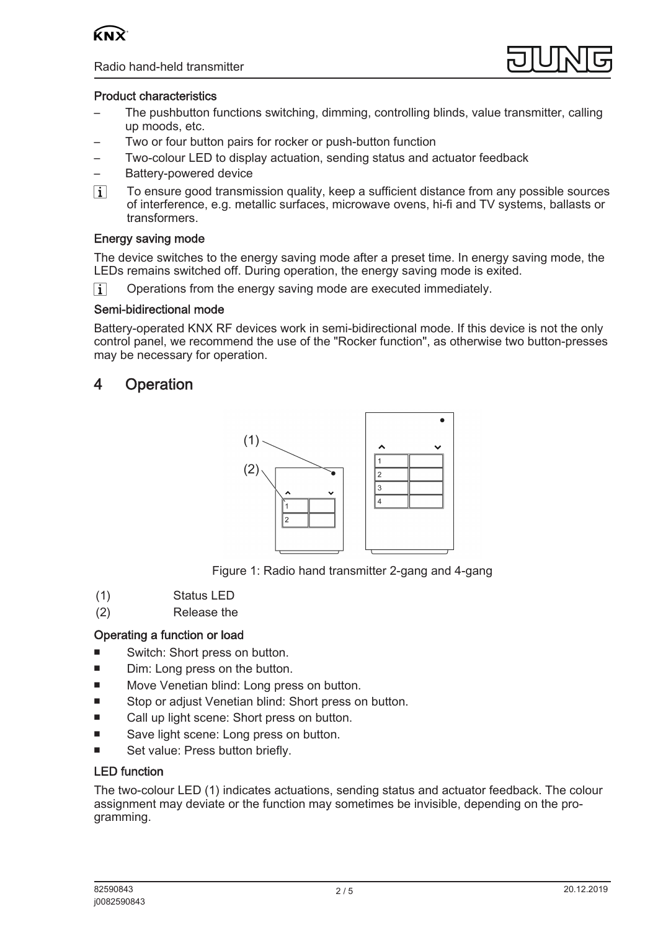



### Product characteristics

- The pushbutton functions switching, dimming, controlling blinds, value transmitter, calling up moods, etc.
- Two or four button pairs for rocker or push-button function
- Two-colour LED to display actuation, sending status and actuator feedback
- Battery-powered device
- $\lceil i \rceil$ To ensure good transmission quality, keep a sufficient distance from any possible sources of interference, e.g. metallic surfaces, microwave ovens, hi-fi and TV systems, ballasts or transformers.

### Energy saving mode

The device switches to the energy saving mode after a preset time. In energy saving mode, the LEDs remains switched off. During operation, the energy saving mode is exited.

 $\vert \cdot \vert$ Operations from the energy saving mode are executed immediately.

#### Semi-bidirectional mode

Battery-operated KNX RF devices work in semi-bidirectional mode. If this device is not the only control panel, we recommend the use of the "Rocker function", as otherwise two button-presses may be necessary for operation.

## 4 Operation



Figure 1: Radio hand transmitter 2-gang and 4-gang

- (1) Status LED
- (2) Release the

### Operating a function or load

- Switch: Short press on button.
- Dim: Long press on the button.
- Move Venetian blind: Long press on button.
- Stop or adjust Venetian blind: Short press on button.
- Call up light scene: Short press on button.
- Save light scene: Long press on button.
- Set value: Press button briefly.

### LED function

The two-colour LED (1) indicates actuations, sending status and actuator feedback. The colour assignment may deviate or the function may sometimes be invisible, depending on the programming.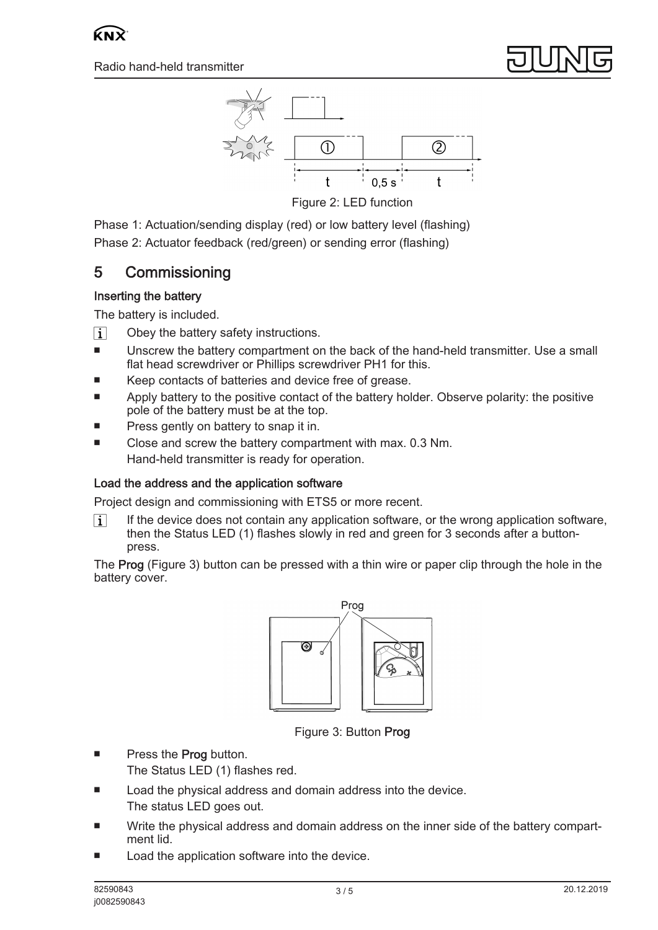

Figure 2: LED function

Phase 1: Actuation/sending display (red) or low battery level (flashing) Phase 2: Actuator feedback (red/green) or sending error (flashing)

# 5 Commissioning

## Inserting the battery

The battery is included.

- $\boxed{1}$ Obey the battery safety instructions.
- Unscrew the battery compartment on the back of the hand-held transmitter. Use a small flat head screwdriver or Phillips screwdriver PH1 for this.
- Keep contacts of batteries and device free of grease.
- Apply battery to the positive contact of the battery holder. Observe polarity: the positive pole of the battery must be at the top.
- Press gently on battery to snap it in.
- Close and screw the battery compartment with max. 0.3 Nm. Hand-held transmitter is ready for operation.

## Load the address and the application software

Project design and commissioning with ETS5 or more recent.

If the device does not contain any application software, or the wrong application software,  $\vert i \vert$ then the Status LED (1) flashes slowly in red and green for 3 seconds after a buttonpress.

The Prog (Figure 3) button can be pressed with a thin wire or paper clip through the hole in the battery cover.



Figure 3: Button Prog

- Press the **Prog** button.
	- The Status LED (1) flashes red.
- Load the physical address and domain address into the device. The status LED goes out.
- Write the physical address and domain address on the inner side of the battery compartment lid.
- Load the application software into the device.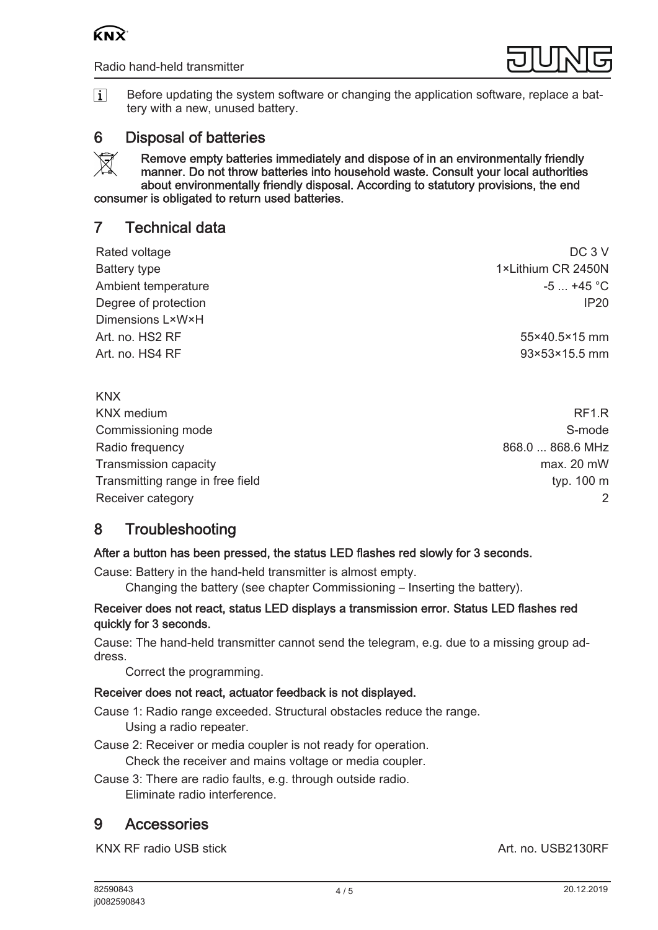



 $\lceil \cdot \rceil$ Before updating the system software or changing the application software, replace a battery with a new, unused battery.

## 6 Disposal of batteries

Remove empty batteries immediately and dispose of in an environmentally friendly  $\boxtimes$ manner. Do not throw batteries into household waste. Consult your local authorities about environmentally friendly disposal. According to statutory provisions, the end consumer is obligated to return used batteries.

## 7 Technical data

| Rated voltage        | DC <sub>3</sub> V  |
|----------------------|--------------------|
| Battery type         | 1×Lithium CR 2450N |
| Ambient temperature  | $-5$ +45 °C        |
| Degree of protection | IP20               |
| Dimensions L×W×H     |                    |
| Art. no. HS2 RF      | 55×40.5×15 mm      |
| Art. no. HS4 RF      | 93×53×15.5 mm      |
|                      |                    |

### KNX

KNX medium RF1.R Commissioning mode **S-mode** S-mode S-mode S-mode S-mode S-mode S-mode S-mode S-mode S-mode Radio frequency **868.0** ... 868.6 MHz Transmission capacity max. 20 mW Transmitting range in free field typ. 100 m Receiver category 2

# 8 Troubleshooting

### After a button has been pressed, the status LED flashes red slowly for 3 seconds.

Cause: Battery in the hand-held transmitter is almost empty.

Changing the battery (see chapter Commissioning – Inserting the battery).

### Receiver does not react, status LED displays a transmission error. Status LED flashes red quickly for 3 seconds.

Cause: The hand-held transmitter cannot send the telegram, e.g. due to a missing group address.

Correct the programming.

## Receiver does not react, actuator feedback is not displayed.

Cause 1: Radio range exceeded. Structural obstacles reduce the range. Using a radio repeater.

Cause 2: Receiver or media coupler is not ready for operation.

Check the receiver and mains voltage or media coupler.

Cause 3: There are radio faults, e.g. through outside radio. Eliminate radio interference.

## 9 Accessories

KNX RF radio USB stick Art. no. [USB2130RF](http://qr.jung.de/ean/4011377144231.htm)